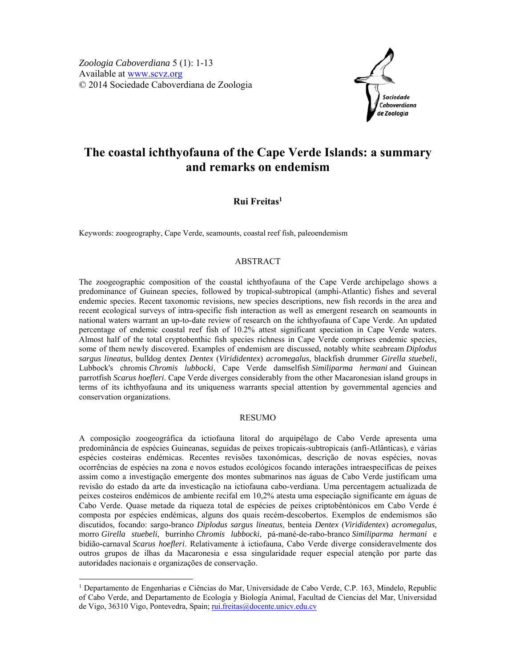

# **The coastal ichthyofauna of the Cape Verde Islands: a summary and remarks on endemism**

**Rui Freitas1**

Keywords: zoogeography, Cape Verde, seamounts, coastal reef fish, paleoendemism

## ABSTRACT

The zoogeographic composition of the coastal ichthyofauna of the Cape Verde archipelago shows a predominance of Guinean species, followed by tropical-subtropical (amphi-Atlantic) fishes and several endemic species. Recent taxonomic revisions, new species descriptions, new fish records in the area and recent ecological surveys of intra-specific fish interaction as well as emergent research on seamounts in national waters warrant an up-to-date review of research on the ichthyofauna of Cape Verde. An updated percentage of endemic coastal reef fish of 10.2% attest significant speciation in Cape Verde waters. Almost half of the total cryptobenthic fish species richness in Cape Verde comprises endemic species, some of them newly discovered. Examples of endemism are discussed, notably white seabream *Diplodus sargus lineatus*, bulldog dentex *Dentex* (*Virididentex*) *acromegalus*, blackfish drummer *Girella stuebeli*, Lubbock's chromis *Chromis lubbocki*, Cape Verde damselfish *Similiparma hermani* and Guinean parrotfish *Scarus hoefleri*. Cape Verde diverges considerably from the other Macaronesian island groups in terms of its ichthyofauna and its uniqueness warrants special attention by governmental agencies and conservation organizations.

## RESUMO

A composição zoogeográfica da ictiofauna litoral do arquipélago de Cabo Verde apresenta uma predominância de espécies Guineanas, seguidas de peixes tropicais-subtropicais (anfi-Atlânticas), e várias espécies costeiras endémicas. Recentes revisões taxonómicas, descrição de novas espécies, novas ocorrências de espécies na zona e novos estudos ecológicos focando interações intraespecíficas de peixes assim como a investigação emergente dos montes submarinos nas águas de Cabo Verde justificam uma revisão do estado da arte da investicação na ictiofauna cabo-verdiana. Uma percentagem actualizada de peixes costeiros endémicos de ambiente recifal em 10,2% atesta uma especiação significante em águas de Cabo Verde. Quase metade da riqueza total de espécies de peixes criptobêntónicos em Cabo Verde é composta por espécies endémicas, alguns dos quais recém-descobertos. Exemplos de endemismos são discutidos, focando: sargo-branco *Diplodus sargus lineatus*, benteia *Dentex* (*Virididentex*) *acromegalus*, morro *Girella stuebeli*, burrinho *Chromis lubbocki*, pá-mané-de-rabo-branco *Similiparma hermani* e bidião-carnaval *Scarus hoefleri*. Relativamente à ictiofauna, Cabo Verde diverge consideravelmente dos outros grupos de ilhas da Macaronesia e essa singularidade requer especial atenção por parte das autoridades nacionais e organizações de conservação.

-

<sup>&</sup>lt;sup>1</sup> Departamento de Engenharias e Ciências do Mar, Universidade de Cabo Verde, C.P. 163, Mindelo, Republic of Cabo Verde, and Departamento de Ecología y Biología Animal, Facultad de Ciencias del Mar, Universidad de Vigo, 36310 Vigo, Pontevedra, Spain; rui.freitas@docente.unicv.edu.cv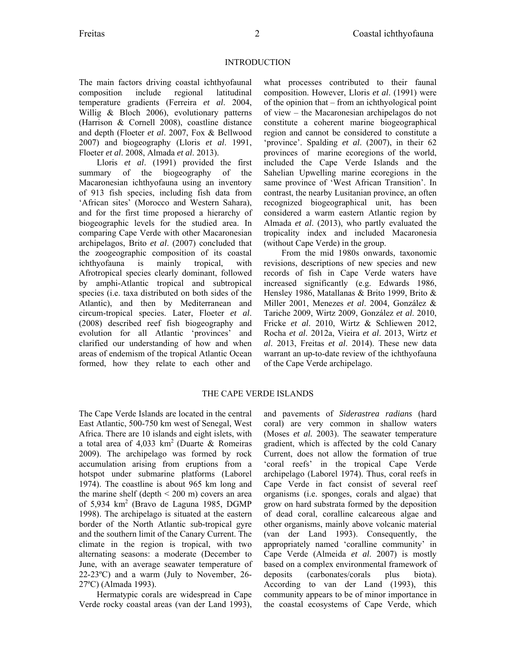The main factors driving coastal ichthyofaunal composition include regional latitudinal temperature gradients (Ferreira *et al*. 2004, Willig & Bloch 2006), evolutionary patterns (Harrison & Cornell 2008), coastline distance and depth (Floeter *et al*. 2007, Fox & Bellwood 2007) and biogeography (Lloris *et al*. 1991, Floeter *et al*. 2008, Almada *et al*. 2013).

Lloris *et al*. (1991) provided the first summary of the biogeography of the Macaronesian ichthyofauna using an inventory of 913 fish species, including fish data from 'African sites' (Morocco and Western Sahara), and for the first time proposed a hierarchy of biogeographic levels for the studied area. In comparing Cape Verde with other Macaronesian archipelagos, Brito *et al*. (2007) concluded that the zoogeographic composition of its coastal ichthyofauna is mainly tropical, with Afrotropical species clearly dominant, followed by amphi-Atlantic tropical and subtropical species (i.e. taxa distributed on both sides of the Atlantic), and then by Mediterranean and circum-tropical species. Later, Floeter *et al*. (2008) described reef fish biogeography and evolution for all Atlantic 'provinces' and clarified our understanding of how and when areas of endemism of the tropical Atlantic Ocean formed, how they relate to each other and

what processes contributed to their faunal composition. However, Lloris *et al*. (1991) were of the opinion that – from an ichthyological point of view – the Macaronesian archipelagos do not constitute a coherent marine biogeographical region and cannot be considered to constitute a 'province'. Spalding *et al*. (2007), in their 62 provinces of marine ecoregions of the world, included the Cape Verde Islands and the Sahelian Upwelling marine ecoregions in the same province of 'West African Transition'. In contrast, the nearby Lusitanian province, an often recognized biogeographical unit, has been considered a warm eastern Atlantic region by Almada *et al*. (2013), who partly evaluated the tropicality index and included Macaronesia (without Cape Verde) in the group.

From the mid 1980s onwards, taxonomic revisions, descriptions of new species and new records of fish in Cape Verde waters have increased significantly (e.g. Edwards 1986, Hensley 1986, Matallanas & Brito 1999, Brito & Miller 2001, Menezes *et al*. 2004, González & Tariche 2009, Wirtz 2009, González *et al*. 2010, Fricke *et al*. 2010, Wirtz & Schliewen 2012, Rocha *et al*. 2012a, Vieira *et al*. 2013, Wirtz *et al*. 2013, Freitas *et al*. 2014). These new data warrant an up-to-date review of the ichthyofauna of the Cape Verde archipelago.

## THE CAPE VERDE ISLANDS

The Cape Verde Islands are located in the central East Atlantic, 500-750 km west of Senegal, West Africa. There are 10 islands and eight islets, with a total area of  $4.033 \text{ km}^2$  (Duarte & Romeiras 2009). The archipelago was formed by rock accumulation arising from eruptions from a hotspot under submarine platforms (Laborel 1974). The coastline is about 965 km long and the marine shelf (depth  $\leq 200$  m) covers an area of 5,934 km<sup>2</sup> (Bravo de Laguna 1985, DGMP 1998). The archipelago is situated at the eastern border of the North Atlantic sub-tropical gyre and the southern limit of the Canary Current. The climate in the region is tropical, with two alternating seasons: a moderate (December to June, with an average seawater temperature of 22-23ºC) and a warm (July to November, 26- 27ºC) (Almada 1993).

Hermatypic corals are widespread in Cape Verde rocky coastal areas (van der Land 1993), and pavements of *Siderastrea radians* (hard coral) are very common in shallow waters (Moses *et al.* 2003). The seawater temperature gradient, which is affected by the cold Canary Current, does not allow the formation of true 'coral reefs' in the tropical Cape Verde archipelago (Laborel 1974). Thus, coral reefs in Cape Verde in fact consist of several reef organisms (i.e. sponges, corals and algae) that grow on hard substrata formed by the deposition of dead coral, coralline calcareous algae and other organisms, mainly above volcanic material (van der Land 1993). Consequently, the appropriately named 'coralline community' in Cape Verde (Almeida *et al*. 2007) is mostly based on a complex environmental framework of deposits (carbonates/corals plus biota). According to van der Land (1993), this community appears to be of minor importance in the coastal ecosystems of Cape Verde, which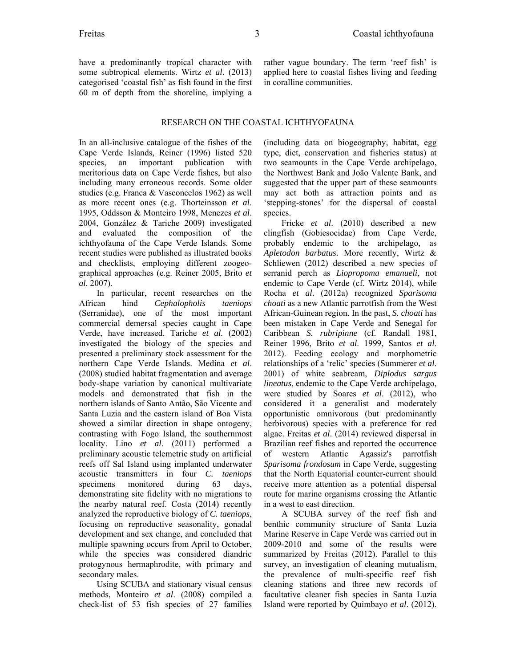have a predominantly tropical character with some subtropical elements. Wirtz *et al*. (2013) categorised 'coastal fish' as fish found in the first 60 m of depth from the shoreline, implying a rather vague boundary. The term 'reef fish' is applied here to coastal fishes living and feeding in coralline communities.

## RESEARCH ON THE COASTAL ICHTHYOFAUNA

In an all-inclusive catalogue of the fishes of the Cape Verde Islands, Reiner (1996) listed 520 species, an important publication with meritorious data on Cape Verde fishes, but also including many erroneous records. Some older studies (e.g. Franca & Vasconcelos 1962) as well as more recent ones (e.g. Thorteinsson *et al*. 1995, Oddsson & Monteiro 1998, Menezes *et al*. 2004, González & Tariche 2009) investigated and evaluated the composition of the ichthyofauna of the Cape Verde Islands. Some recent studies were published as illustrated books and checklists, employing different zoogeographical approaches (e.g. Reiner 2005, Brito *et al*. 2007).

In particular, recent researches on the African hind *Cephalopholis taeniops*  (Serranidae), one of the most important commercial demersal species caught in Cape Verde, have increased. Tariche *et al.* (2002) investigated the biology of the species and presented a preliminary stock assessment for the northern Cape Verde Islands. Medina *et al*. (2008) studied habitat fragmentation and average body-shape variation by canonical multivariate models and demonstrated that fish in the northern islands of Santo Antão, São Vicente and Santa Luzia and the eastern island of Boa Vista showed a similar direction in shape ontogeny, contrasting with Fogo Island, the southernmost locality. Lino *et al*. (2011) performed a preliminary acoustic telemetric study on artificial reefs off Sal Island using implanted underwater acoustic transmitters in four *C. taeniops* specimens monitored during 63 days, demonstrating site fidelity with no migrations to the nearby natural reef. Costa (2014) recently analyzed the reproductive biology of *C. taeniops*, focusing on reproductive seasonality, gonadal development and sex change, and concluded that multiple spawning occurs from April to October, while the species was considered diandric protogynous hermaphrodite, with primary and secondary males.

Using SCUBA and stationary visual census methods, Monteiro *et al*. (2008) compiled a check-list of 53 fish species of 27 families (including data on biogeography, habitat, egg type, diet, conservation and fisheries status) at two seamounts in the Cape Verde archipelago, the Northwest Bank and João Valente Bank, and suggested that the upper part of these seamounts may act both as attraction points and as 'stepping-stones' for the dispersal of coastal species.

Fricke *et al*. (2010) described a new clingfish (Gobiesocidae) from Cape Verde, probably endemic to the archipelago, as *Apletodon barbatus*. More recently, Wirtz & Schliewen (2012) described a new species of serranid perch as *Liopropoma emanueli*, not endemic to Cape Verde (cf. Wirtz 2014), while Rocha *et al*. (2012a) recognized *Sparisoma choati* as a new Atlantic parrotfish from the West African-Guinean region. In the past, *S. choati* has been mistaken in Cape Verde and Senegal for Caribbean *S. rubripinne* (cf. Randall 1981, Reiner 1996, Brito *et al*. 1999, Santos *et al*. 2012). Feeding ecology and morphometric relationships of a 'relic' species (Summerer *et al*. 2001) of white seabream, *Diplodus sargus lineatus*, endemic to the Cape Verde archipelago, were studied by Soares *et al*. (2012), who considered it a generalist and moderately opportunistic omnivorous (but predominantly herbivorous) species with a preference for red algae. Freitas *et al*. (2014) reviewed dispersal in Brazilian reef fishes and reported the occurrence of western Atlantic Agassiz's parrotfish *Sparisoma frondosum* in Cape Verde, suggesting that the North Equatorial counter-current should receive more attention as a potential dispersal route for marine organisms crossing the Atlantic in a west to east direction.

A SCUBA survey of the reef fish and benthic community structure of Santa Luzia Marine Reserve in Cape Verde was carried out in 2009-2010 and some of the results were summarized by Freitas (2012). Parallel to this survey, an investigation of cleaning mutualism, the prevalence of multi-specific reef fish cleaning stations and three new records of facultative cleaner fish species in Santa Luzia Island were reported by Quimbayo *et al*. (2012).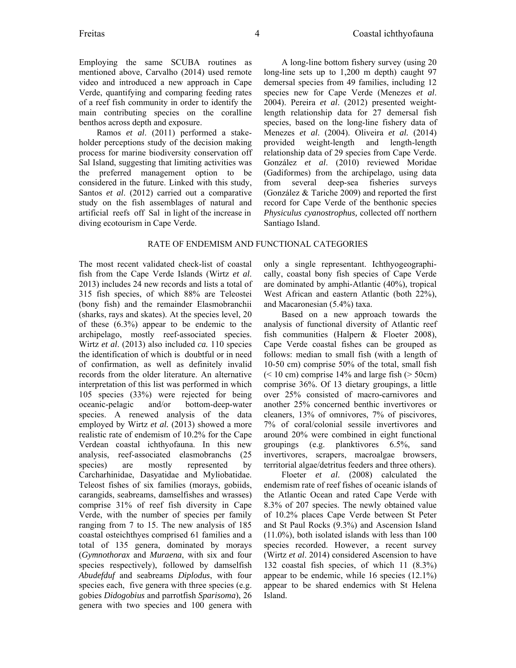Employing the same SCUBA routines as mentioned above, Carvalho (2014) used remote video and introduced a new approach in Cape Verde, quantifying and comparing feeding rates of a reef fish community in order to identify the main contributing species on the coralline benthos across depth and exposure.

Ramos *et al*. (2011) performed a stakeholder perceptions study of the decision making process for marine biodiversity conservation off Sal Island, suggesting that limiting activities was the preferred management option to be considered in the future. Linked with this study, Santos *et al*. (2012) carried out a comparative study on the fish assemblages of natural and artificial reefs off Sal in light of the increase in diving ecotourism in Cape Verde.

A long-line bottom fishery survey (using 20 long-line sets up to 1,200 m depth) caught 97 demersal species from 49 families, including 12 species new for Cape Verde (Menezes *et al*. 2004). Pereira *et al*. (2012) presented weightlength relationship data for 27 demersal fish species, based on the long-line fishery data of Menezes *et al*. (2004). Oliveira *et al.* (2014) provided weight-length and length-length relationship data of 29 species from Cape Verde. González *et al*. (2010) reviewed Moridae (Gadiformes) from the archipelago, using data from several deep-sea fisheries surveys (González & Tariche 2009) and reported the first record for Cape Verde of the benthonic species *Physiculus cyanostrophus,* collected off northern Santiago Island.

## RATE OF ENDEMISM AND FUNCTIONAL CATEGORIES

The most recent validated check-list of coastal fish from the Cape Verde Islands (Wirtz *et al*. 2013) includes 24 new records and lists a total of 315 fish species, of which 88% are Teleostei (bony fish) and the remainder Elasmobranchii (sharks, rays and skates). At the species level, 20 of these (6.3%) appear to be endemic to the archipelago, mostly reef-associated species. Wirtz *et al*. (2013) also included *ca.* 110 species the identification of which is doubtful or in need of confirmation, as well as definitely invalid records from the older literature. An alternative interpretation of this list was performed in which 105 species (33%) were rejected for being oceanic-pelagic and/or bottom-deep-water species. A renewed analysis of the data employed by Wirtz *et al.* (2013) showed a more realistic rate of endemism of 10.2% for the Cape Verdean coastal ichthyofauna. In this new analysis, reef-associated elasmobranchs (25 species) are mostly represented by Carcharhinidae, Dasyatidae and Myliobatidae. Teleost fishes of six families (morays, gobiids, carangids, seabreams, damselfishes and wrasses) comprise 31% of reef fish diversity in Cape Verde, with the number of species per family ranging from 7 to 15. The new analysis of 185 coastal osteichthyes comprised 61 families and a total of 135 genera, dominated by morays (*Gymnothorax* and *Muraena*, with six and four species respectively), followed by damselfish *Abudefduf* and seabreams *Diplodus*, with four species each, five genera with three species (e.g. gobies *Didogobius* and parrotfish *Sparisoma*), 26 genera with two species and 100 genera with

only a single representant. Ichthyogeographically, coastal bony fish species of Cape Verde are dominated by amphi-Atlantic (40%), tropical West African and eastern Atlantic (both 22%), and Macaronesian (5.4%) taxa.

Based on a new approach towards the analysis of functional diversity of Atlantic reef fish communities (Halpern & Floeter 2008), Cape Verde coastal fishes can be grouped as follows: median to small fish (with a length of 10-50 cm) comprise 50% of the total, small fish  $(< 10$  cm) comprise 14% and large fish  $(> 50cm)$ comprise 36%. Of 13 dietary groupings, a little over 25% consisted of macro-carnivores and another 25% concerned benthic invertivores or cleaners, 13% of omnivores, 7% of piscivores, 7% of coral/colonial sessile invertivores and around 20% were combined in eight functional groupings (e.g. planktivores 6.5%, sand invertivores, scrapers, macroalgae browsers, territorial algae/detritus feeders and three others).

Floeter *et al*. (2008) calculated the endemism rate of reef fishes of oceanic islands of the Atlantic Ocean and rated Cape Verde with 8.3% of 207 species. The newly obtained value of 10.2% places Cape Verde between St Peter and St Paul Rocks (9.3%) and Ascension Island (11.0%), both isolated islands with less than 100 species recorded. However, a recent survey (Wirtz *et al*. 2014) considered Ascension to have 132 coastal fish species, of which 11 (8.3%) appear to be endemic, while 16 species (12.1%) appear to be shared endemics with St Helena Island.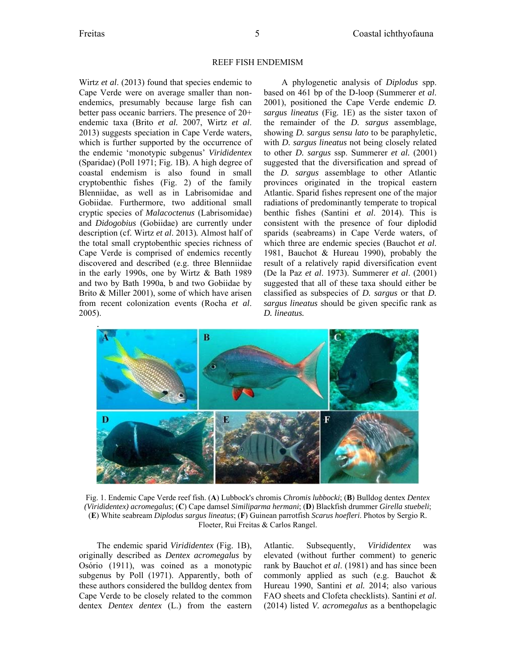#### REEF FISH ENDEMISM

Wirtz *et al*. (2013) found that species endemic to Cape Verde were on average smaller than nonendemics, presumably because large fish can better pass oceanic barriers. The presence of 20+ endemic taxa (Brito *et al.* 2007, Wirtz *et al*. 2013) suggests speciation in Cape Verde waters, which is further supported by the occurrence of the endemic 'monotypic subgenus' *Virididentex* (Sparidae) (Poll 1971; Fig. 1B). A high degree of coastal endemism is also found in small cryptobenthic fishes (Fig. 2) of the family Blenniidae, as well as in Labrisomidae and Gobiidae. Furthermore, two additional small cryptic species of *Malacoctenus* (Labrisomidae) and *Didogobius* (Gobiidae) are currently under description (cf. Wirtz *et al*. 2013)*.* Almost half of the total small cryptobenthic species richness of Cape Verde is comprised of endemics recently discovered and described (e.g. three Blenniidae in the early 1990s, one by Wirtz & Bath 1989 and two by Bath 1990a, b and two Gobiidae by Brito & Miller 2001), some of which have arisen from recent colonization events (Rocha *et al*. 2005).

A phylogenetic analysis of *Diplodus* spp. based on 461 bp of the D-loop (Summerer *et al*. 2001), positioned the Cape Verde endemic *D. sargus lineatus* (Fig. 1E) as the sister taxon of the remainder of the *D. sargus* assemblage, showing *D. sargus sensu lato* to be paraphyletic, with *D. sargus lineatus* not being closely related to other *D. sargus* ssp. Summerer *et al.* (2001) suggested that the diversification and spread of the *D. sargus* assemblage to other Atlantic provinces originated in the tropical eastern Atlantic. Sparid fishes represent one of the major radiations of predominantly temperate to tropical benthic fishes (Santini *et al*. 2014). This is consistent with the presence of four diplodid sparids (seabreams) in Cape Verde waters, of which three are endemic species (Bauchot *et al*. 1981, Bauchot & Hureau 1990), probably the result of a relatively rapid diversification event (De la Paz *et al*. 1973). Summerer *et al*. (2001) suggested that all of these taxa should either be classified as subspecies of *D. sargus* or that *D. sargus lineatus* should be given specific rank as *D. lineatus.* 



Fig. 1. Endemic Cape Verde reef fish. (**A**) Lubbock's chromis *Chromis lubbocki*; (**B**) Bulldog dentex *Dentex (Virididentex) acromegalus*; (**C**) Cape damsel *Similiparma hermani*; (**D**) Blackfish drummer *Girella stuebeli*; (**E**) White seabream *Diplodus sargus lineatus*; (**F**) Guinean parrotfish *Scarus hoefleri*. Photos by Sergio R. Floeter, Rui Freitas & Carlos Rangel.

The endemic sparid *Virididentex* (Fig. 1B), originally described as *Dentex acromegalus* by Osório (1911), was coined as a monotypic subgenus by Poll (1971). Apparently, both of these authors considered the bulldog dentex from Cape Verde to be closely related to the common dentex *Dentex dentex* (L.) from the eastern Atlantic. Subsequently, *Virididentex* was elevated (without further comment) to generic rank by Bauchot *et al*. (1981) and has since been commonly applied as such (e.g. Bauchot & Hureau 1990, Santini *et al.* 2014; also various FAO sheets and Clofeta checklists). Santini *et al*. (2014) listed *V. acromegalus* as a benthopelagic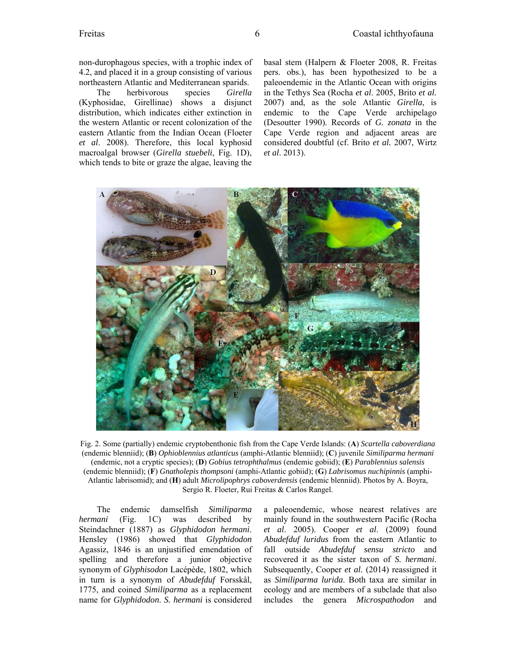non-durophagous species, with a trophic index of 4.2, and placed it in a group consisting of various northeastern Atlantic and Mediterranean sparids.

The herbivorous species *Girella* (Kyphosidae, Girellinae) shows a disjunct distribution, which indicates either extinction in the western Atlantic or recent colonization of the eastern Atlantic from the Indian Ocean (Floeter *et al*. 2008). Therefore, this local kyphosid macroalgal browser (*Girella stuebeli*, Fig. 1D), which tends to bite or graze the algae, leaving the basal stem (Halpern & Floeter 2008, R. Freitas pers. obs.), has been hypothesized to be a paleoendemic in the Atlantic Ocean with origins in the Tethys Sea (Rocha *et al*. 2005, Brito *et al.* 2007) and, as the sole Atlantic *Girella*, is endemic to the Cape Verde archipelago (Desoutter 1990). Records of *G. zonata* in the Cape Verde region and adjacent areas are considered doubtful (cf. Brito *et al.* 2007, Wirtz *et al*. 2013).



Fig. 2. Some (partially) endemic cryptobenthonic fish from the Cape Verde Islands: (**A**) *Scartella caboverdiana* (endemic blenniid); (**B**) *Ophioblennius atlanticus* (amphi-Atlantic blenniid); (**C**) juvenile *Similiparma hermani*  (endemic, not a cryptic species); (**D**) *Gobius tetrophthalmus* (endemic gobiid); (**E**) *Parablennius salensis* (endemic blenniid); (**F**) *Gnatholepis thompsoni* (amphi-Atlantic gobiid); (**G**) *Labrisomus nuchipinnis* (amphi-Atlantic labrisomid); and (**H**) adult *Microlipophrys caboverdensis* (endemic blenniid). Photos by A. Boyra, Sergio R. Floeter, Rui Freitas & Carlos Rangel.

The endemic damselfish *Similiparma hermani* (Fig. 1C) was described by Steindachner (1887) as *Glyphidodon hermani*. Hensley (1986) showed that *Glyphidodon*  Agassiz, 1846 is an unjustified emendation of spelling and therefore a junior objective synonym of *Glyphisodon* Lacépède, 1802, which in turn is a synonym of *Abudefduf* Forsskål, 1775, and coined *Similiparma* as a replacement name for *Glyphidodon*. *S. hermani* is considered a paleoendemic, whose nearest relatives are mainly found in the southwestern Pacific (Rocha *et al*. 2005). Cooper *et al*. (2009) found *Abudefduf luridus* from the eastern Atlantic to fall outside *Abudefduf sensu stricto* and recovered it as the sister taxon of *S. hermani*. Subsequently, Cooper *et al.* (2014) reassigned it as *Similiparma lurida*. Both taxa are similar in ecology and are members of a subclade that also includes the genera *Microspathodon* and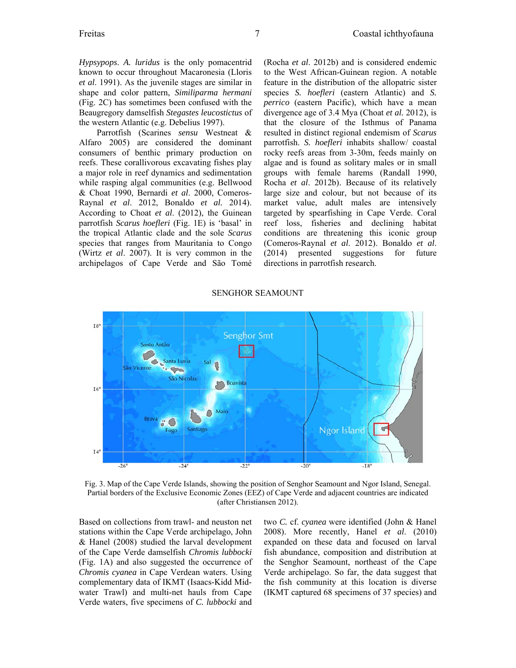*Hypsypops*. *A. luridus* is the only pomacentrid known to occur throughout Macaronesia (Lloris *et al*. 1991). As the juvenile stages are similar in shape and color pattern, *Similiparma hermani* (Fig. 2C) has sometimes been confused with the Beaugregory damselfish *Stegastes leucostictus* of the western Atlantic (e.g. Debelius 1997).

Parrotfish (Scarines *sensu* Westneat & Alfaro 2005) are considered the dominant consumers of benthic primary production on reefs. These corallivorous excavating fishes play a major role in reef dynamics and sedimentation while rasping algal communities (e.g. Bellwood & Choat 1990, Bernardi *et al*. 2000, Comeros-Raynal *et al*. 2012, Bonaldo *et al.* 2014). According to Choat *et al*. (2012), the Guinean parrotfish *Scarus hoefleri* (Fig. 1E) is 'basal' in the tropical Atlantic clade and the sole *Scarus* species that ranges from Mauritania to Congo (Wirtz *et al*. 2007). It is very common in the archipelagos of Cape Verde and São Tomé (Rocha *et al*. 2012b) and is considered endemic to the West African-Guinean region. A notable feature in the distribution of the allopatric sister species *S. hoefleri* (eastern Atlantic) and *S. perrico* (eastern Pacific), which have a mean divergence age of 3.4 Mya (Choat *et al.* 2012), is that the closure of the Isthmus of Panama resulted in distinct regional endemism of *Scarus* parrotfish. *S. hoefleri* inhabits shallow/ coastal rocky reefs areas from 3-30m, feeds mainly on algae and is found as solitary males or in small groups with female harems (Randall 1990, Rocha *et al*. 2012b). Because of its relatively large size and colour, but not because of its market value, adult males are intensively targeted by spearfishing in Cape Verde. Coral reef loss, fisheries and declining habitat conditions are threatening this iconic group (Comeros-Raynal *et al*. 2012). Bonaldo *et al*. (2014) presented suggestions for future directions in parrotfish research.

#### $18^{\circ}$ **Senghor Smt Santo Antão** Santa Luzia Ó  $\rightarrow$ São Nicolau **Boavista**  $16^{\circ}$ Maio 介 äO Santiago Ngor Island Fogo  $I4^{\circ}$  $-26'$  $-24$  $-22^{\circ}$  $-20^\circ$  $-18$

#### SENGHOR SEAMOUNT

Fig. 3. Map of the Cape Verde Islands, showing the position of Senghor Seamount and Ngor Island, Senegal. Partial borders of the Exclusive Economic Zones (EEZ) of Cape Verde and adjacent countries are indicated (after Christiansen 2012).

Based on collections from trawl- and neuston net stations within the Cape Verde archipelago, John & Hanel (2008) studied the larval development of the Cape Verde damselfish *Chromis lubbocki* (Fig. 1A) and also suggested the occurrence of *Chromis cyanea* in Cape Verdean waters. Using complementary data of IKMT (Isaacs-Kidd Midwater Trawl) and multi-net hauls from Cape Verde waters, five specimens of *C. lubbocki* and two *C.* cf. *cyanea* were identified (John & Hanel 2008). More recently, Hanel *et al*. (2010) expanded on these data and focused on larval fish abundance, composition and distribution at the Senghor Seamount, northeast of the Cape Verde archipelago. So far, the data suggest that the fish community at this location is diverse (IKMT captured 68 specimens of 37 species) and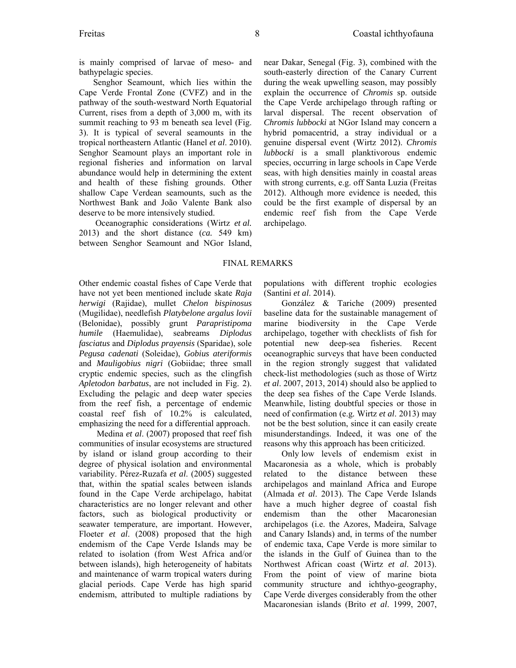is mainly comprised of larvae of meso- and bathypelagic species.

Senghor Seamount, which lies within the Cape Verde Frontal Zone (CVFZ) and in the pathway of the south-westward North Equatorial Current, rises from a depth of 3,000 m, with its summit reaching to 93 m beneath sea level (Fig. 3). It is typical of several seamounts in the tropical northeastern Atlantic (Hanel *et al*. 2010). Senghor Seamount plays an important role in regional fisheries and information on larval abundance would help in determining the extent and health of these fishing grounds. Other shallow Cape Verdean seamounts, such as the Northwest Bank and João Valente Bank also deserve to be more intensively studied.

 Oceanographic considerations (Wirtz *et al.* 2013) and the short distance (*ca.* 549 km) between Senghor Seamount and NGor Island, near Dakar, Senegal (Fig. 3), combined with the south-easterly direction of the Canary Current during the weak upwelling season, may possibly explain the occurrence of *Chromis* sp. outside the Cape Verde archipelago through rafting or larval dispersal. The recent observation of *Chromis lubbocki* at NGor Island may concern a hybrid pomacentrid, a stray individual or a genuine dispersal event (Wirtz 2012). *Chromis lubbocki* is a small planktivorous endemic species, occurring in large schools in Cape Verde seas, with high densities mainly in coastal areas with strong currents, e.g. off Santa Luzia (Freitas 2012). Although more evidence is needed, this could be the first example of dispersal by an endemic reef fish from the Cape Verde archipelago.

## FINAL REMARKS

Other endemic coastal fishes of Cape Verde that have not yet been mentioned include skate *Raja herwigi* (Rajidae), mullet *Chelon bispinosus*  (Mugilidae), needlefish *Platybelone argalus lovii* (Belonidae), possibly grunt *Parapristipoma humile* (Haemulidae), seabreams *Diplodus fasciatus* and *Diplodus prayensis* (Sparidae), sole *Pegusa cadenati* (Soleidae), *Gobius ateriformis* and *Mauligobius nigri* (Gobiidae; three small cryptic endemic species, such as the clingfish *Apletodon barbatus*, are not included in Fig. 2). Excluding the pelagic and deep water species from the reef fish, a percentage of endemic coastal reef fish of 10.2% is calculated, emphasizing the need for a differential approach.

Medina *et al*. (2007) proposed that reef fish communities of insular ecosystems are structured by island or island group according to their degree of physical isolation and environmental variability. Pérez-Ruzafa *et al*. (2005) suggested that, within the spatial scales between islands found in the Cape Verde archipelago, habitat characteristics are no longer relevant and other factors, such as biological productivity or seawater temperature, are important. However, Floeter *et al*. (2008) proposed that the high endemism of the Cape Verde Islands may be related to isolation (from West Africa and/or between islands), high heterogeneity of habitats and maintenance of warm tropical waters during glacial periods. Cape Verde has high sparid endemism, attributed to multiple radiations by

populations with different trophic ecologies (Santini *et al*. 2014).

González & Tariche (2009) presented baseline data for the sustainable management of marine biodiversity in the Cape Verde archipelago, together with checklists of fish for potential new deep-sea fisheries. Recent oceanographic surveys that have been conducted in the region strongly suggest that validated check-list methodologies (such as those of Wirtz *et al*. 2007, 2013, 2014) should also be applied to the deep sea fishes of the Cape Verde Islands. Meanwhile, listing doubtful species or those in need of confirmation (e.g*.* Wirtz *et al*. 2013) may not be the best solution, since it can easily create misunderstandings. Indeed, it was one of the reasons why this approach has been criticized.

Only low levels of endemism exist in Macaronesia as a whole, which is probably related to the distance between these archipelagos and mainland Africa and Europe (Almada *et al*. 2013). The Cape Verde Islands have a much higher degree of coastal fish endemism than the other Macaronesian archipelagos (i.e. the Azores, Madeira, Salvage and Canary Islands) and, in terms of the number of endemic taxa, Cape Verde is more similar to the islands in the Gulf of Guinea than to the Northwest African coast (Wirtz *et al*. 2013). From the point of view of marine biota community structure and ichthyo-geography, Cape Verde diverges considerably from the other Macaronesian islands (Brito *et al*. 1999, 2007,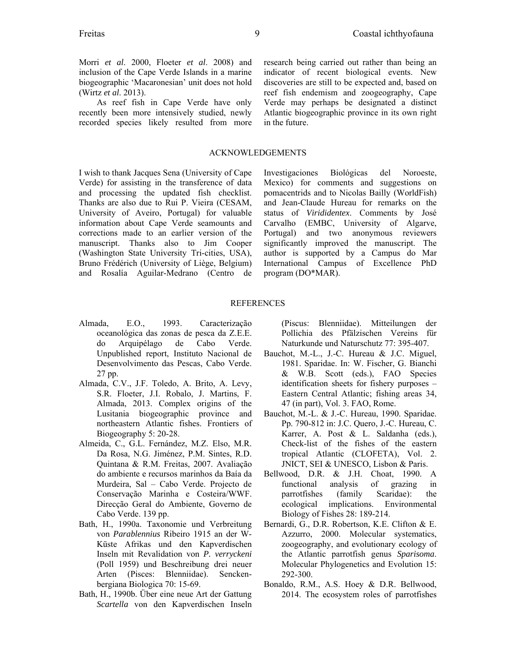Morri *et al*. 2000, Floeter *et al*. 2008) and inclusion of the Cape Verde Islands in a marine biogeographic 'Macaronesian' unit does not hold (Wirtz *et al*. 2013).

As reef fish in Cape Verde have only recently been more intensively studied, newly recorded species likely resulted from more

## ACKNOWLEDGEMENTS

I wish to thank Jacques Sena (University of Cape Verde) for assisting in the transference of data and processing the updated fish checklist. Thanks are also due to Rui P. Vieira (CESAM, University of Aveiro, Portugal) for valuable information about Cape Verde seamounts and corrections made to an earlier version of the manuscript. Thanks also to Jim Cooper (Washington State University Tri-cities, USA), Bruno Frédérich (University of Liège, Belgium) and Rosalía Aguilar-Medrano (Centro de indicator of recent biological events. New discoveries are still to be expected and, based on reef fish endemism and zoogeography, Cape Verde may perhaps be designated a distinct Atlantic biogeographic province in its own right in the future.

research being carried out rather than being an

Investigaciones Biológicas del Noroeste, Mexico) for comments and suggestions on pomacentrids and to Nicolas Bailly (WorldFish) and Jean-Claude Hureau for remarks on the status of *Virididentex*. Comments by José Carvalho (EMBC, University of Algarve, Portugal) and two anonymous reviewers significantly improved the manuscript. The author is supported by a Campus do Mar International Campus of Excellence PhD program (DO\*MAR).

### **REFERENCES**

- Almada, E.O., 1993. Caracterização oceanológica das zonas de pesca da Z.E.E. do Arquipélago de Cabo Verde. Unpublished report, Instituto Nacional de Desenvolvimento das Pescas, Cabo Verde. 27 pp.
- Almada, C.V., J.F. Toledo, A. Brito, A. Levy, S.R. Floeter, J.I. Robalo, J. Martins, F. Almada, 2013. Complex origins of the Lusitania biogeographic province and northeastern Atlantic fishes. Frontiers of Biogeography 5: 20-28.
- Almeida, C., G.L. Fernández, M.Z. Elso, M.R. Da Rosa, N.G. Jiménez, P.M. Sintes, R.D. Quintana & R.M. Freitas, 2007. Avaliação do ambiente e recursos marinhos da Baía da Murdeira, Sal – Cabo Verde. Projecto de Conservação Marinha e Costeira/WWF. Direcção Geral do Ambiente, Governo de Cabo Verde. 139 pp.
- Bath, H., 1990a. Taxonomie und Verbreitung von *Parablennius* Ribeiro 1915 an der W-Küste Afrikas und den Kapverdischen Inseln mit Revalidation von *P. verryckeni* (Poll 1959) und Beschreibung drei neuer Arten (Pisces: Blenniidae). Senckenbergiana Biologica 70: 15-69.
- Bath, H., 1990b. Über eine neue Art der Gattung *Scartella* von den Kapverdischen Inseln

(Piscus: Blenniidae). Mitteilungen der Pollichia des Pfälzischen Vereins für Naturkunde und Naturschutz 77: 395-407.

- Bauchot, M.-L., J.-C. Hureau & J.C. Miguel, 1981. Sparidae. In: W. Fischer, G. Bianchi & W.B. Scott (eds.), FAO Species identification sheets for fishery purposes – Eastern Central Atlantic; fishing areas 34, 47 (in part), Vol. 3. FAO, Rome.
- Bauchot, M.-L. & J.-C. Hureau, 1990. Sparidae. Pp. 790-812 in: J.C. Quero, J.-C. Hureau, C. Karrer, A. Post & L. Saldanha (eds.), Check-list of the fishes of the eastern tropical Atlantic (CLOFETA), Vol. 2. JNICT, SEI & UNESCO, Lisbon & Paris.
- Bellwood, D.R. & J.H. Choat, 1990. A functional analysis of grazing in parrotfishes (family Scaridae): the ecological implications. Environmental Biology of Fishes 28: 189-214.
- Bernardi, G., D.R. Robertson, K.E. Clifton & E. Azzurro, 2000. Molecular systematics, zoogeography, and evolutionary ecology of the Atlantic parrotfish genus *Sparisoma*. Molecular Phylogenetics and Evolution 15: 292-300.
- Bonaldo, R.M., A.S. Hoey & D.R. Bellwood, 2014. The ecosystem roles of parrotfishes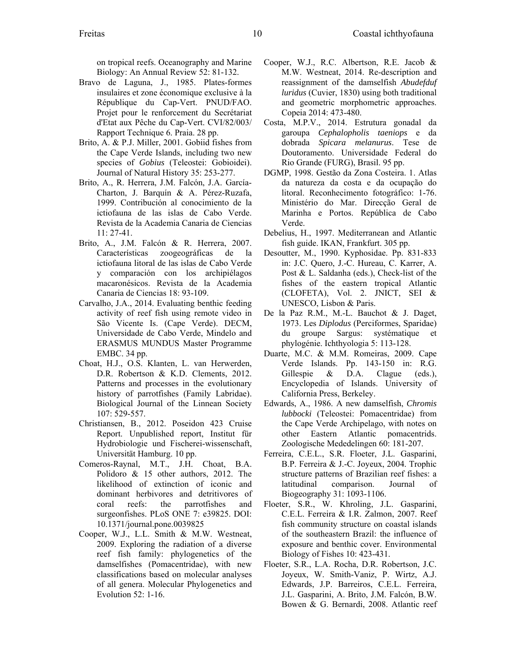on tropical reefs. Oceanography and Marine Biology: An Annual Review 52: 81-132.

- Bravo de Laguna, J., 1985. Plates-formes insulaires et zone économique exclusive à la République du Cap-Vert. PNUD/FAO. Projet pour le renforcement du Secrétariat d'Etat aux Pêche du Cap-Vert. CVI/82/003/ Rapport Technique 6. Praia. 28 pp.
- Brito, A. & P.J. Miller, 2001. Gobiid fishes from the Cape Verde Islands, including two new species of *Gobius* (Teleostei: Gobioidei). Journal of Natural History 35: 253-277.
- Brito, A., R. Herrera, J.M. Falcón, J.A. García-Charton, J. Barquín & A. Pérez-Ruzafa, 1999. Contribución al conocimiento de la ictiofauna de las islas de Cabo Verde. Revista de la Academia Canaria de Ciencias 11: 27-41.
- Brito, A., J.M. Falcón & R. Herrera, 2007. Características zoogeográficas de la ictiofauna litoral de las islas de Cabo Verde y comparación con los archipiélagos macaronésicos. Revista de la Academia Canaria de Ciencias 18: 93-109.
- Carvalho, J.A., 2014. Evaluating benthic feeding activity of reef fish using remote video in São Vicente Is. (Cape Verde). DECM, Universidade de Cabo Verde, Mindelo and ERASMUS MUNDUS Master Programme EMBC. 34 pp.
- Choat, H.J., O.S. Klanten, L. van Herwerden, D.R. Robertson & K.D. Clements, 2012. Patterns and processes in the evolutionary history of parrotfishes (Family Labridae). Biological Journal of the Linnean Society 107: 529-557.
- Christiansen, B., 2012. Poseidon 423 Cruise Report. Unpublished report, Institut für Hydrobiologie und Fischerei-wissenschaft, Universität Hamburg. 10 pp.
- Comeros-Raynal, M.T., J.H. Choat, B.A. Polidoro & 15 other authors, 2012. The likelihood of extinction of iconic and dominant herbivores and detritivores of coral reefs: the parrotfishes and surgeonfishes. PLoS ONE 7: e39825. DOI: 10.1371/journal.pone.0039825
- Cooper, W.J., L.L. Smith & M.W. Westneat, 2009. Exploring the radiation of a diverse reef fish family: phylogenetics of the damselfishes (Pomacentridae), with new classifications based on molecular analyses of all genera. Molecular Phylogenetics and Evolution 52: 1-16.
- Cooper, W.J., R.C. Albertson, R.E. Jacob & M.W. Westneat, 2014. Re-description and reassignment of the damselfish *Abudefduf luridus* (Cuvier, 1830) using both traditional and geometric morphometric approaches. Copeia 2014: 473-480.
- Costa, M.P.V., 2014. Estrutura gonadal da garoupa *Cephalopholis taeniops* e da dobrada *Spicara melanurus*. Tese de Doutoramento. Universidade Federal do Rio Grande (FURG), Brasil. 95 pp.
- DGMP, 1998. Gestão da Zona Costeira. 1. Atlas da natureza da costa e da ocupação do litoral. Reconhecimento fotográfico: 1-76. Ministério do Mar. Direcção Geral de Marinha e Portos. República de Cabo Verde.
- Debelius, H., 1997. Mediterranean and Atlantic fish guide. IKAN, Frankfurt. 305 pp.
- Desoutter, M., 1990. Kyphosidae. Pp. 831-833 in: J.C. Quero, J.-C. Hureau, C. Karrer, A. Post & L. Saldanha (eds.), Check-list of the fishes of the eastern tropical Atlantic (CLOFETA), Vol. 2. JNICT, SEI & UNESCO, Lisbon & Paris.
- De la Paz R.M., M.-L. Bauchot & J. Daget, 1973. Les *Diplodus* (Perciformes, Sparidae) du groupe Sargus: systématique et phylogénie. Ichthyologia 5: 113-128.
- Duarte, M.C. & M.M. Romeiras, 2009. Cape Verde Islands. Pp. 143-150 in: R.G. Gillespie & D.A. Clague (eds.), Encyclopedia of Islands. University of California Press, Berkeley.
- Edwards, A., 1986. A new damselfish, *Chromis lubbocki* (Teleostei: Pomacentridae) from the Cape Verde Archipelago, with notes on other Eastern Atlantic pomacentrids. Zoologische Mededelingen 60: 181-207.
- Ferreira, C.E.L., S.R. Floeter, J.L. Gasparini, B.P. Ferreira & J.-C. Joyeux, 2004. Trophic structure patterns of Brazilian reef fishes: a latitudinal comparison. Journal of Biogeography 31: 1093-1106.
- Floeter, S.R., W. Khroling, J.L. Gasparini, C.E.L. Ferreira & I.R. Zalmon, 2007. Reef fish community structure on coastal islands of the southeastern Brazil: the influence of exposure and benthic cover. Environmental Biology of Fishes 10: 423-431.
- Floeter, S.R., L.A. Rocha, D.R. Robertson, J.C. Joyeux, W. Smith-Vaniz, P. Wirtz, A.J. Edwards, J.P. Barreiros, C.E.L. Ferreira, J.L. Gasparini, A. Brito, J.M. Falcón, B.W. Bowen & G. Bernardi, 2008. Atlantic reef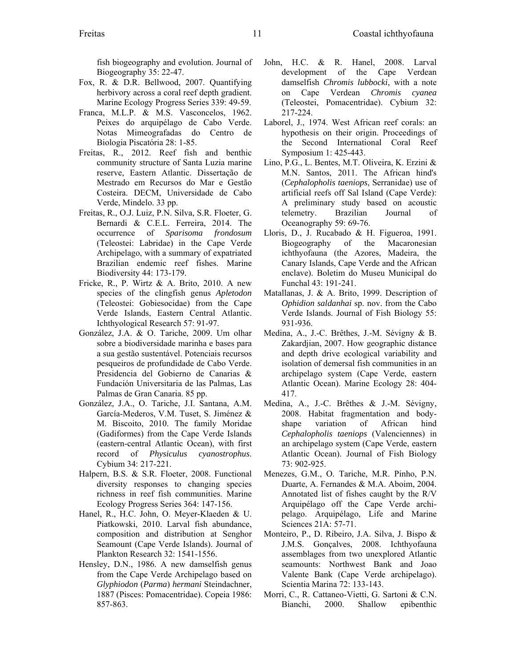fish biogeography and evolution. Journal of Biogeography 35: 22-47.

- Fox, R. & D.R. Bellwood, 2007. Quantifying herbivory across a coral reef depth gradient. Marine Ecology Progress Series 339: 49-59.
- Franca, M.L.P. & M.S. Vasconcelos, 1962. Peixes do arquipélago de Cabo Verde. Notas Mimeografadas do Centro de Biologia Piscatória 28: 1-85.
- Freitas, R., 2012. Reef fish and benthic community structure of Santa Luzia marine reserve, Eastern Atlantic. Dissertação de Mestrado em Recursos do Mar e Gestão Costeira. DECM, Universidade de Cabo Verde, Mindelo. 33 pp.
- Freitas, R., O.J. Luiz, P.N. Silva, S.R. Floeter, G. Bernardi & C.E.L. Ferreira, 2014. The occurrence of *Sparisoma frondosum* (Teleostei: Labridae) in the Cape Verde Archipelago, with a summary of expatriated Brazilian endemic reef fishes. Marine Biodiversity 44: 173-179.
- Fricke, R., P. Wirtz & A. Brito, 2010. A new species of the clingfish genus *Apletodon* (Teleostei: Gobiesocidae) from the Cape Verde Islands, Eastern Central Atlantic. Ichthyological Research 57: 91-97.
- González, J.A. & O. Tariche, 2009. Um olhar sobre a biodiversidade marinha e bases para a sua gestão sustentável. Potenciais recursos pesqueiros de profundidade de Cabo Verde. Presidencia del Gobierno de Canarias & Fundación Universitaria de las Palmas, Las Palmas de Gran Canaria. 85 pp.
- González, J.A., O. Tariche, J.I. Santana, A.M. García-Mederos, V.M. Tuset, S. Jiménez & M. Biscoito, 2010. The family Moridae (Gadiformes) from the Cape Verde Islands (eastern-central Atlantic Ocean), with first record of *Physiculus cyanostrophus*. Cybium 34: 217-221.
- Halpern, B.S. & S.R. Floeter, 2008. Functional diversity responses to changing species richness in reef fish communities. Marine Ecology Progress Series 364: 147-156.
- Hanel, R., H.C. John, O. Meyer-Klaeden & U. Piatkowski, 2010. Larval fish abundance, composition and distribution at Senghor Seamount (Cape Verde Islands). Journal of Plankton Research 32: 1541-1556.
- Hensley, D.N., 1986. A new damselfish genus from the Cape Verde Archipelago based on *Glyphiodon* (*Parma*) *hermani* Steindachner, 1887 (Pisces: Pomacentridae). Copeia 1986: 857-863.
- John, H.C. & R. Hanel, 2008. Larval development of the Cape Verdean damselfish *Chromis lubbocki*, with a note on Cape Verdean *Chromis cyanea* (Teleostei, Pomacentridae). Cybium 32: 217-224.
- Laborel, J., 1974. West African reef corals: an hypothesis on their origin. Proceedings of the Second International Coral Reef Symposium 1: 425-443.
- Lino, P.G., L. Bentes, M.T. Oliveira, K. Erzini & M.N. Santos, 2011. The African hind's (*Cephalopholis taeniops*, Serranidae) use of artificial reefs off Sal Island (Cape Verde): A preliminary study based on acoustic telemetry. Brazilian Journal of Oceanography 59: 69*-*76.
- Lloris, D., J. Rucabado & H. Figueroa, 1991. Biogeography of the Macaronesian ichthyofauna (the Azores, Madeira, the Canary Islands, Cape Verde and the African enclave). Boletim do Museu Municipal do Funchal 43: 191*-*241.
- Matallanas, J. & A. Brito, 1999. Description of *Ophidion saldanhai* sp. nov. from the Cabo Verde Islands. Journal of Fish Biology 55: 931*-*936.
- Medina, A., J.-C. Brêthes, J.-M. Sévigny & B. Zakardjian, 2007. How geographic distance and depth drive ecological variability and isolation of demersal fish communities in an archipelago system (Cape Verde, eastern Atlantic Ocean). Marine Ecology 28: 404- 417.
- Medina, A., J.-C. Brêthes & J.-M. Sévigny, 2008. Habitat fragmentation and bodyshape variation of African hind *Cephalopholis taeniops* (Valenciennes) in an archipelago system (Cape Verde, eastern Atlantic Ocean). Journal of Fish Biology 73: 902*-*925.
- Menezes, G.M., O. Tariche, M.R. Pinho, P.N. Duarte, A. Fernandes & M.A. Aboim, 2004. Annotated list of fishes caught by the R/V Arquipélago off the Cape Verde archipelago. Arquipélago, Life and Marine Sciences 21A: 57*-*71.
- Monteiro, P., D. Ribeiro, J.A. Silva, J. Bispo & J.M.S. Gonçalves, 2008. Ichthyofauna assemblages from two unexplored Atlantic seamounts: Northwest Bank and Joao Valente Bank (Cape Verde archipelago). Scientia Marina 72: 133-143.
- Morri, C., R. Cattaneo-Vietti, G. Sartoni & C.N. Bianchi, 2000. Shallow epibenthic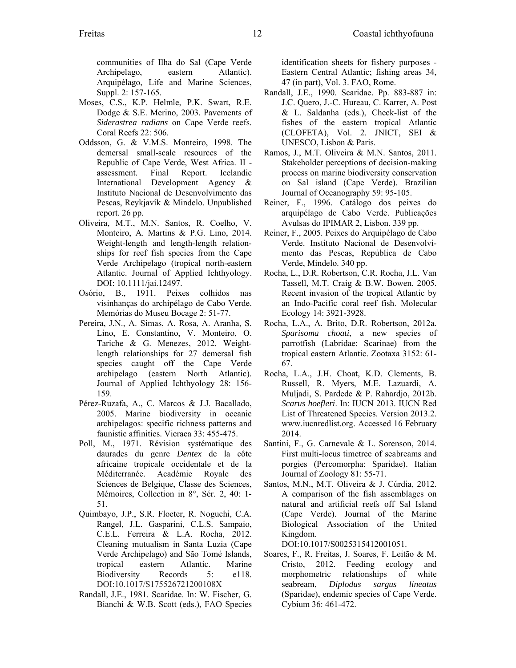communities of Ilha do Sal (Cape Verde Archipelago, eastern Atlantic). Arquipélago, Life and Marine Sciences, Suppl. 2: 157-165.

- Moses, C.S., K.P. Helmle, P.K. Swart, R.E. Dodge & S.E. Merino, 2003. Pavements of *Siderastrea radians* on Cape Verde reefs. Coral Reefs 22: 506.
- Oddsson, G. & V.M.S. Monteiro, 1998. The demersal small-scale resources of the Republic of Cape Verde, West Africa. II assessment. Final Report. Icelandic International Development Agency & Instituto Nacional de Desenvolvimento das Pescas, Reykjavík & Mindelo. Unpublished report. 26 pp.
- Oliveira, M.T., M.N. Santos, R. Coelho, V. Monteiro, A. Martins & P.G. Lino, 2014. Weight-length and length-length relationships for reef fish species from the Cape Verde Archipelago (tropical north-eastern Atlantic. Journal of Applied Ichthyology. DOI: 10.1111/jai.12497.
- Osório, B., 1911. Peixes colhidos nas visinhanças do archipélago de Cabo Verde. Memórias do Museu Bocage 2: 51-77.
- Pereira, J.N., A. Simas, A. Rosa, A. Aranha, S. Lino, E. Constantino, V. Monteiro, O. Tariche & G. Menezes, 2012. Weightlength relationships for 27 demersal fish species caught off the Cape Verde archipelago (eastern North Atlantic). Journal of Applied Ichthyology 28: 156- 159.
- Pérez-Ruzafa, A., C. Marcos & J.J. Bacallado, 2005. Marine biodiversity in oceanic archipelagos: specific richness patterns and faunistic affinities. Vieraea 33: 455-475.
- Poll, M., 1971. Révision systématique des daurades du genre *Dentex* de la côte africaine tropicale occidentale et de la Méditerranée. Académie Royale des Sciences de Belgique, Classe des Sciences, Mémoires, Collection in 8°, Sér. 2, 40: 1- 51.
- Quimbayo, J.P., S.R. Floeter, R. Noguchi, C.A. Rangel, J.L. Gasparini, C.L.S. Sampaio, C.E.L. Ferreira & L.A. Rocha, 2012. Cleaning mutualism in Santa Luzia (Cape Verde Archipelago) and São Tomé Islands, tropical eastern Atlantic. Marine Biodiversity Records 5: e118. DOI:10.1017/S175526721200108X
- Randall, J.E., 1981. Scaridae. In: W. Fischer, G. Bianchi & W.B. Scott (eds.), FAO Species

identification sheets for fishery purposes - Eastern Central Atlantic; fishing areas 34, 47 (in part), Vol. 3. FAO, Rome.

- Randall, J.E., 1990. Scaridae. Pp. 883-887 in: J.C. Quero, J.-C. Hureau, C. Karrer, A. Post & L. Saldanha (eds.), Check-list of the fishes of the eastern tropical Atlantic (CLOFETA), Vol. 2. JNICT, SEI & UNESCO, Lisbon & Paris.
- Ramos, J., M.T. Oliveira & M.N. Santos, 2011. Stakeholder perceptions of decision-making process on marine biodiversity conservation on Sal island (Cape Verde). Brazilian Journal of Oceanography 59: 95-105.
- Reiner, F., 1996. Catálogo dos peixes do arquipélago de Cabo Verde. Publicações Avulsas do IPIMAR 2, Lisbon. 339 pp.
- Reiner, F., 2005. Peixes do Arquipélago de Cabo Verde. Instituto Nacional de Desenvolvimento das Pescas, República de Cabo Verde, Mindelo. 340 pp.
- Rocha, L., D.R. Robertson, C.R. Rocha, J.L. Van Tassell, M.T. Craig & B.W. Bowen, 2005. Recent invasion of the tropical Atlantic by an Indo-Pacific coral reef fish. Molecular Ecology 14: 3921-3928.
- Rocha, L.A., A. Brito, D.R. Robertson, 2012a. *Sparisoma choati*, a new species of parrotfish (Labridae: Scarinae) from the tropical eastern Atlantic. Zootaxa 3152: 61- 67.
- Rocha, L.A., J.H. Choat, K.D. Clements, B. Russell, R. Myers, M.E. Lazuardi, A. Muljadi, S. Pardede & P. Rahardjo, 2012b. *Scarus hoefleri*. In: IUCN 2013. IUCN Red List of Threatened Species. Version 2013.2. www.iucnredlist.org. Accessed 16 February 2014.
- Santini, F., G. Carnevale & L. Sorenson, 2014. First multi-locus timetree of seabreams and porgies (Percomorpha: Sparidae). Italian Journal of Zoology 81: 55-71.
- Santos, M.N., M.T. Oliveira & J. Cúrdia, 2012. A comparison of the fish assemblages on natural and artificial reefs off Sal Island (Cape Verde). Journal of the Marine Biological Association of the United Kingdom.

DOI:10.1017/S0025315412001051.

Soares, F., R. Freitas, J. Soares, F. Leitão & M. Cristo, 2012. Feeding ecology and morphometric relationships of white seabream, *Diplodus sargus lineatus* (Sparidae), endemic species of Cape Verde. Cybium 36: 461-472.